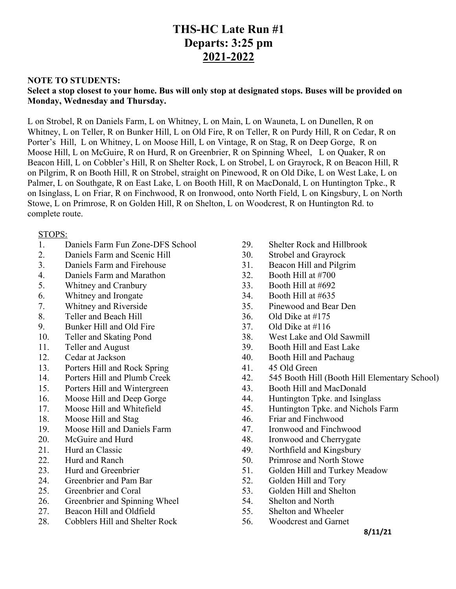# **THS-HC Late Run #1 Departs: 3:25 pm 2021-2022**

### **NOTE TO STUDENTS:**

## **Select a stop closest to your home. Bus will only stop at designated stops. Buses will be provided on Monday, Wednesday and Thursday.**

L on Strobel, R on Daniels Farm, L on Whitney, L on Main, L on Wauneta, L on Dunellen, R on Whitney, L on Teller, R on Bunker Hill, L on Old Fire, R on Teller, R on Purdy Hill, R on Cedar, R on Porter's Hill, L on Whitney, L on Moose Hill, L on Vintage, R on Stag, R on Deep Gorge, R on Moose Hill, L on McGuire, R on Hurd, R on Greenbrier, R on Spinning Wheel, L on Quaker, R on Beacon Hill, L on Cobbler's Hill, R on Shelter Rock, L on Strobel, L on Grayrock, R on Beacon Hill, R on Pilgrim, R on Booth Hill, R on Strobel, straight on Pinewood, R on Old Dike, L on West Lake, L on Palmer, L on Southgate, R on East Lake, L on Booth Hill, R on MacDonald, L on Huntington Tpke., R on Isinglass, L on Friar, R on Finchwood, R on Ironwood, onto North Field, L on Kingsbury, L on North Stowe, L on Primrose, R on Golden Hill, R on Shelton, L on Woodcrest, R on Huntington Rd. to complete route.

#### STOPS:

- 1. Daniels Farm Fun Zone-DFS School
- 2. Daniels Farm and Scenic Hill
- 3. Daniels Farm and Firehouse
- 4. Daniels Farm and Marathon
- 5. Whitney and Cranbury
- 6. Whitney and Irongate
- 7. Whitney and Riverside
- 8. Teller and Beach Hill
- 9. Bunker Hill and Old Fire
- 10. Teller and Skating Pond
- 11. Teller and August
- 12. Cedar at Jackson
- 13. Porters Hill and Rock Spring
- 14. Porters Hill and Plumb Creek
- 15. Porters Hill and Wintergreen
- 16. Moose Hill and Deep Gorge
- 17. Moose Hill and Whitefield
- 18. Moose Hill and Stag
- 19. Moose Hill and Daniels Farm
- 20. McGuire and Hurd
- 21. Hurd an Classic
- 22. Hurd and Ranch
- 23. Hurd and Greenbrier
- 24. Greenbrier and Pam Bar
- 25. Greenbrier and Coral
- 26. Greenbrier and Spinning Wheel
- 27. Beacon Hill and Oldfield
- 28. Cobblers Hill and Shelter Rock
- 29. Shelter Rock and Hillbrook
- 30. Strobel and Grayrock
- 31. Beacon Hill and Pilgrim
- 32. Booth Hill at #700
- 33. Booth Hill at #692
- 34. Booth Hill at #635
- 35. Pinewood and Bear Den
- 36. Old Dike at #175
- 37. Old Dike at #116
- 38. West Lake and Old Sawmill
- 39. Booth Hill and East Lake
- 40. Booth Hill and Pachaug
- 41. 45 Old Green
- 42. 545 Booth Hill (Booth Hill Elementary School)
- 43. Booth Hill and MacDonald
- 44. Huntington Tpke. and Isinglass
- 45. Huntington Tpke. and Nichols Farm
- 46. Friar and Finchwood
- 47. Ironwood and Finchwood
- 48. Ironwood and Cherrygate
- 49. Northfield and Kingsbury
- 50. Primrose and North Stowe
- 51. Golden Hill and Turkey Meadow
- 52. Golden Hill and Tory
- 53. Golden Hill and Shelton
- 54. Shelton and North
- 55. Shelton and Wheeler
- 56. Woodcrest and Garnet